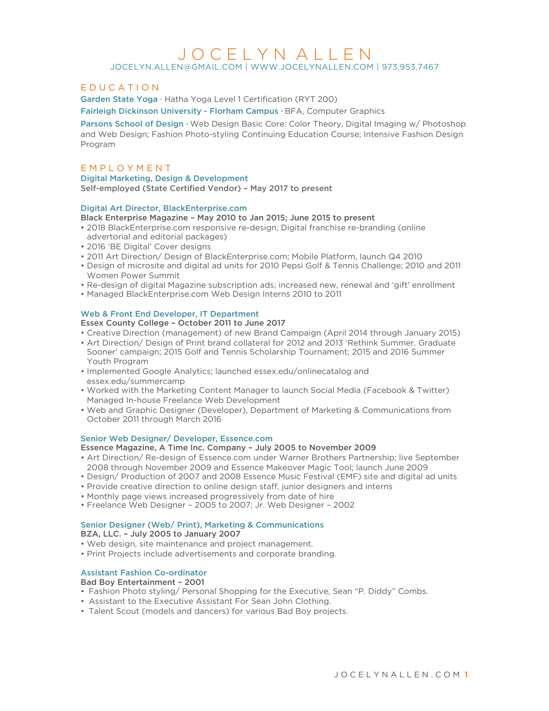# J O C E L Y N A L L E N

JOCELYN.ALLEN@GMAIL.COM | WWW.JOCELYNALLEN.COM | 973.953.7467

# E D U C A T I O N

Garden State Yoga · Hatha Yoga Level 1 Certification (RYT 200) Fairleigh Dickinson University - Florham Campus · BFA, Computer Graphics

Parsons School of Design · Web Design Basic Core: Color Theory, Digital Imaging w/ Photoshop and Web Design; Fashion Photo-styling Continuing Education Course; Intensive Fashion Design Program

# E M P L O Y M E N T

Digital Marketing, Design & Development

Self-employed (State Certified Vendor) – May 2017 to present

#### Digital Art Director, BlackEnterprise.com

- Black Enterprise Magazine May 2010 to Jan 2015; June 2015 to present
- 2018 BlackEnterprise.com responsive re-design; Digital franchise re-branding (online advertorial and editorial packages)
- 2016 'BE Digital' Cover designs
- 2011 Art Direction/ Design of BlackEnterprise.com; Mobile Platform, launch Q4 2010
- Design of microsite and digital ad units for 2010 Pepsi Golf & Tennis Challenge; 2010 and 2011 Women Power Summit
- Re-design of digital Magazine subscription ads; increased new, renewal and 'gift' enrollment
- Managed BlackEnterprise.com Web Design Interns 2010 to 2011

#### Web & Front End Developer, IT Department

Essex County College – October 2011 to June 2017

- Creative Direction (management) of new Brand Campaign (April 2014 through January 2015)
- Art Direction/ Design of Print brand collateral for 2012 and 2013 'Rethink Summer. Graduate Sooner' campaign; 2015 Golf and Tennis Scholarship Tournament; 2015 and 2016 Summer Youth Program
- Implemented Google Analytics; launched essex.edu/onlinecatalog and essex.edu/summercamp
- Worked with the Marketing Content Manager to launch Social Media (Facebook & Twitter) Managed In-house Freelance Web Development
- Web and Graphic Designer (Developer), Department of Marketing & Communications from October 2011 through March 2016

#### Senior Web Designer/ Developer, Essence.com

#### Essence Magazine, A Time Inc. Company – July 2005 to November 2009

- Art Direction/ Re-design of Essence.com under Warner Brothers Partnership; live September 2008 through November 2009 and Essence Makeover Magic Tool; launch June 2009
- Design/ Production of 2007 and 2008 Essence Music Festival (EMF) site and digital ad units
- Provide creative direction to online design staff, junior designers and interns
- Monthly page views increased progressively from date of hire
- Freelance Web Designer 2005 to 2007; Jr. Web Designer 2002

# Senior Designer (Web/ Print), Marketing & Communications

BZA, LLC. – July 2005 to January 2007

- Web design, site maintenance and project management.
- Print Projects include advertisements and corporate branding.

### Assistant Fashion Co-ordinator

#### Bad Boy Entertainment – 2001

- Fashion Photo styling/ Personal Shopping for the Executive, Sean "P. Diddy" Combs.
- Assistant to the Executive Assistant For Sean John Clothing.
- Talent Scout (models and dancers) for various Bad Boy projects.